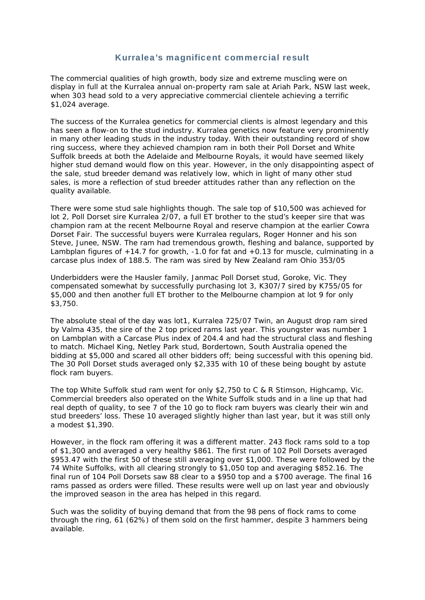## Kurralea's magnificent commercial result

The commercial qualities of high growth, body size and extreme muscling were on display in full at the Kurralea annual on-property ram sale at Ariah Park, NSW last week, when 303 head sold to a very appreciative commercial clientele achieving a terrific \$1,024 average.

The success of the Kurralea genetics for commercial clients is almost legendary and this has seen a flow-on to the stud industry. Kurralea genetics now feature very prominently in many other leading studs in the industry today. With their outstanding record of show ring success, where they achieved champion ram in both their Poll Dorset and White Suffolk breeds at both the Adelaide and Melbourne Royals, it would have seemed likely higher stud demand would flow on this year. However, in the only disappointing aspect of the sale, stud breeder demand was relatively low, which in light of many other stud sales, is more a reflection of stud breeder attitudes rather than any reflection on the quality available.

There were some stud sale highlights though. The sale top of \$10,500 was achieved for lot 2, Poll Dorset sire Kurralea 2/07, a full ET brother to the stud's keeper sire that was champion ram at the recent Melbourne Royal and reserve champion at the earlier Cowra Dorset Fair. The successful buyers were Kurralea regulars, Roger Honner and his son Steve, Junee, NSW. The ram had tremendous growth, fleshing and balance, supported by Lambplan figures of  $+14.7$  for growth,  $-1.0$  for fat and  $+0.13$  for muscle, culminating in a carcase plus index of 188.5. The ram was sired by New Zealand ram Ohio 353/05

Underbidders were the Hausler family, Janmac Poll Dorset stud, Goroke, Vic. They compensated somewhat by successfully purchasing lot 3, K307/7 sired by K755/05 for \$5,000 and then another full ET brother to the Melbourne champion at lot 9 for only \$3,750.

The absolute steal of the day was lot1, Kurralea 725/07 Twin, an August drop ram sired by Valma 435, the sire of the 2 top priced rams last year. This youngster was number 1 on Lambplan with a Carcase Plus index of 204.4 and had the structural class and fleshing to match. Michael King, Netley Park stud, Bordertown, South Australia opened the bidding at \$5,000 and scared all other bidders off; being successful with this opening bid. The 30 Poll Dorset studs averaged only \$2,335 with 10 of these being bought by astute flock ram buyers.

The top White Suffolk stud ram went for only \$2,750 to C & R Stimson, Highcamp, Vic. Commercial breeders also operated on the White Suffolk studs and in a line up that had real depth of quality, to see 7 of the 10 go to flock ram buyers was clearly their win and stud breeders' loss. These 10 averaged slightly higher than last year, but it was still only a modest \$1,390.

However, in the flock ram offering it was a different matter. 243 flock rams sold to a top of \$1,300 and averaged a very healthy \$861. The first run of 102 Poll Dorsets averaged \$953.47 with the first 50 of these still averaging over \$1,000. These were followed by the 74 White Suffolks, with all clearing strongly to \$1,050 top and averaging \$852.16. The final run of 104 Poll Dorsets saw 88 clear to a \$950 top and a \$700 average. The final 16 rams passed as orders were filled. These results were well up on last year and obviously the improved season in the area has helped in this regard.

Such was the solidity of buying demand that from the 98 pens of flock rams to come through the ring, 61 (62%) of them sold on the first hammer, despite 3 hammers being available.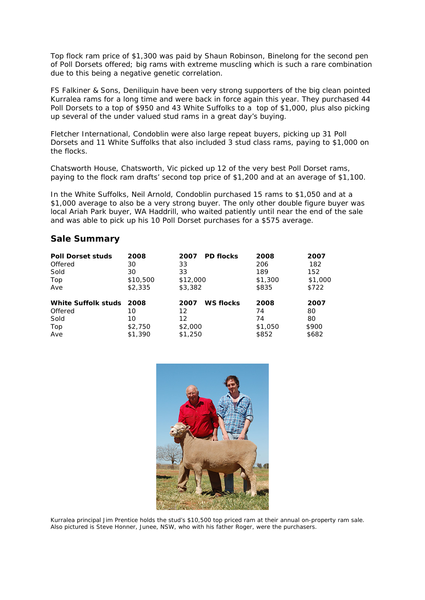Top flock ram price of \$1,300 was paid by Shaun Robinson, Binelong for the second pen of Poll Dorsets offered; big rams with extreme muscling which is such a rare combination due to this being a negative genetic correlation.

FS Falkiner & Sons, Deniliquin have been very strong supporters of the big clean pointed Kurralea rams for a long time and were back in force again this year. They purchased 44 Poll Dorsets to a top of \$950 and 43 White Suffolks to a top of \$1,000, plus also picking up several of the under valued stud rams in a great day's buying.

Fletcher International, Condoblin were also large repeat buyers, picking up 31 Poll Dorsets and 11 White Suffolks that also included 3 stud class rams, paying to \$1,000 on the flocks.

Chatsworth House, Chatsworth, Vic picked up 12 of the very best Poll Dorset rams, paying to the flock ram drafts' second top price of \$1,200 and at an average of \$1,100.

In the White Suffolks, Neil Arnold, Condoblin purchased 15 rams to \$1,050 and at a \$1,000 average to also be a very strong buyer. The only other double figure buyer was local Ariah Park buyer, WA Haddrill, who waited patiently until near the end of the sale and was able to pick up his 10 Poll Dorset purchases for a \$575 average.

## **Sale Summary**

| <b>Poll Dorset studs</b> | 2008     | <b>PD flocks</b><br>2007 | 2008    | 2007    |
|--------------------------|----------|--------------------------|---------|---------|
| Offered                  | 30       | 33                       | 206     | 182     |
| Sold                     | 30       | 33                       | 189     | 152     |
| Top                      | \$10,500 | \$12,000                 | \$1,300 | \$1,000 |
| Ave                      | \$2,335  | \$3,382                  | \$835   | \$722   |
| White Suffolk studs 2008 |          | <b>WS flocks</b><br>2007 | 2008    | 2007    |
| Offered                  | 10       | 12                       | 74      | 80      |
| Sold                     | 10       | 12                       | 74      | 80      |
| Top                      | \$2,750  | \$2,000                  | \$1,050 | \$900   |
| Ave                      | \$1,390  | \$1,250                  | \$852   | \$682   |



*Kurralea principal Jim Prentice holds the stud's \$10,500 top priced ram at their annual on-property ram sale. Also pictured is Steve Honner, Junee, NSW, who with his father Roger, were the purchasers.*